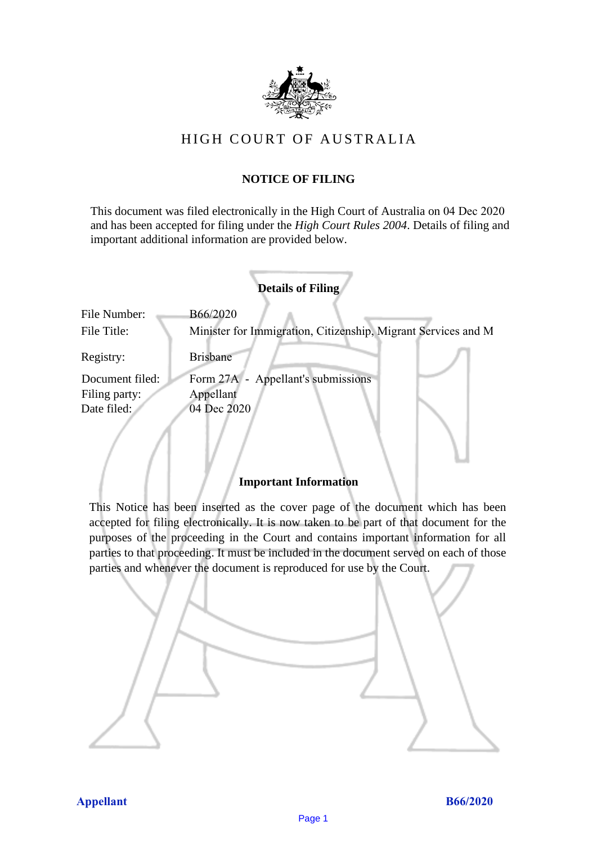

# HIGH COURT OF AU STRALIA HIGH COURT OF AUSTRALIA

# **NOTICE OF FILING** NOTICE OF FILING

This document was filed electronically in the High Court of Australia on 04 Dec 2020 This document was filed electronically in the High Court of Australia <sup>20</sup> and has been accepted for filing under the *High Court Rules 2004*. Details of filing and important additional information are provided below. important additional information are provided below.

|                 | <b>Details of Filing</b>                                      |
|-----------------|---------------------------------------------------------------|
| File Number:    | B66/2020                                                      |
| File Title:     | Minister for Immigration, Citizenship, Migrant Services and M |
| Registry:       | <b>Brisbane</b>                                               |
| Document filed: | Form 27A - Appellant's submissions                            |
| Filing party:   | Appellant                                                     |
| Date filed:     | 04 Dec 2020                                                   |
|                 |                                                               |

# **Important Information** Important Information

This Notice has been inserted as the cover page of the document which has been accepted for filing electronically. It is now taken to be part of that document for the purposes of the proceeding in the Court and contains important information for all parties to that proceeding. It must be included in the document served on each of those parties and whenever the document is reproduced for use by the Court. parties and whenever the document is reproduced for use by the Court

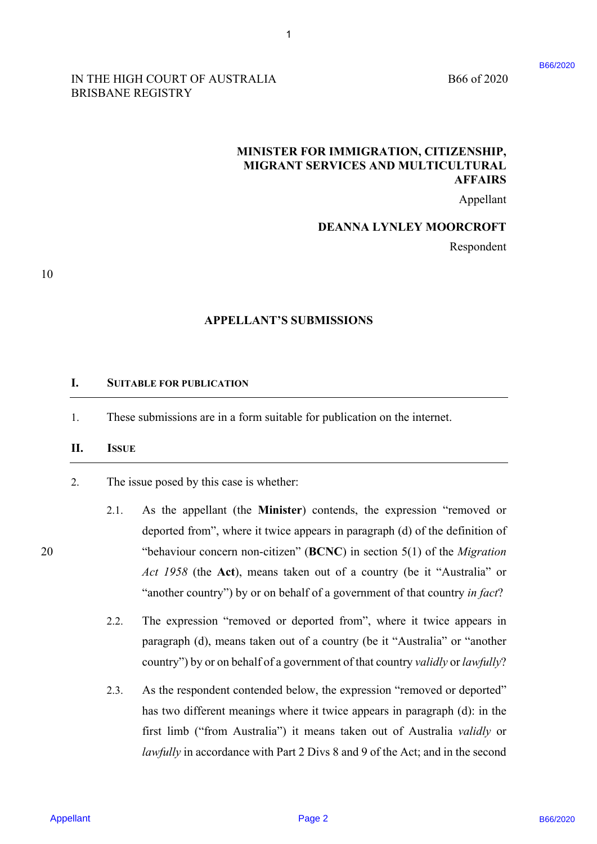### IN THE HIGH COURT OF AUSTRALIA B66 of 2020 BRISBANE REGISTRY BRISBANE REGISTRY

B66 of 2020

# **MINISTER FOR IMMIGRATION, CITIZENSHIP,**  MINISTER FOR IMMIGRATION, CITIZENSHIP, **MIGRANT SERVICES AND MULTICULTURAL**  MIGRANT SERVICES AND MULTICULTURAL **AFFAIRS**  AFFAIRS

Appellant Appellant

## **DEANNA LYNLEY MOORCROFT**  DEANNA LYNLEY MOORCROFT

Respondent Respondent

10 10

# **APPELLANT'S SUBMISSIONS**  APPELLANT'S SUBMISSIONS

1

#### **I. SUITABLE FOR PUBLICATION** SUITABLE FOR PUBLICATION I.

1. These submissions are in a form suitable for publication on the internet. These submissions are in <sup>a</sup> form suitable for publication on the internet. 1.

#### II. ISSUE  $II.$

2. The issue posed by this case is whether: The issue posed by this case is whether: 2.

- 2.1. As the appellant (the **Minister**) contends, the expression "removed or As the appellant (the Minister) contends, the expression "removed or deported from", where it twice appears in paragraph (d) of the definition of deported from", where it twice appears in paragraph (d) of the definition of20 "behaviour concern non-citizen" (**BCNC**) in section 5(1) of the *Migration*  "behaviour concern non-citizen" (BCNC) in section 5(1) of the Migration *Act 1958* (the **Act**), means taken out of a country (be it "Australia" or Act 1958 (the Act), means taken out of a country (be it "Australia" or "another country") by or on behalf of a government of that country *in fact*? "another country'') by or on behalf of a government of that country infact? APPELLANT'S EVENTSATION<br>
NEWSPAPE ASSEMBLY TO MANUFOR A CONFIGENCY (CITERENSITY)<br>
MINISTER POR INVIDENCY INCORPORT THERES<br>
MINISTER POR INVIDENCY AND MULTICLITERATE.<br>
MIGRANY SERVICES AND MULTICLITERATE.<br>
DEANNA LYNEEY MO 2.1.
	- 2.2. The expression "removed or deported from", where it twice appears in The expression "removed or deported from", where it twice appears in paragraph (d), means taken out of a country (be it "Australia" or "another paragraph (d), means taken out of <sup>a</sup> country (be it "Australia" or "another country") by or on behalf of a government of that country *validly* or *lawfully*? country'') by or on behalf of <sup>a</sup> government of that country validly or lawfully? 2.2.
	- 2.3. As the respondent contended below, the expression "removed or deported" As the respondent contended below, the expression "removed or deported" has two different meanings where it twice appears in paragraph (d): in the has two different meanings where it twice appears in paragraph (d): in the first limb ("from Australia") it means taken out of Australia *validly* or first limb ("from Australia") it means taken out of Australia validly or lawfully in accordance with Part 2 Divs 8 and 9 of the Act; and in the second 2.3.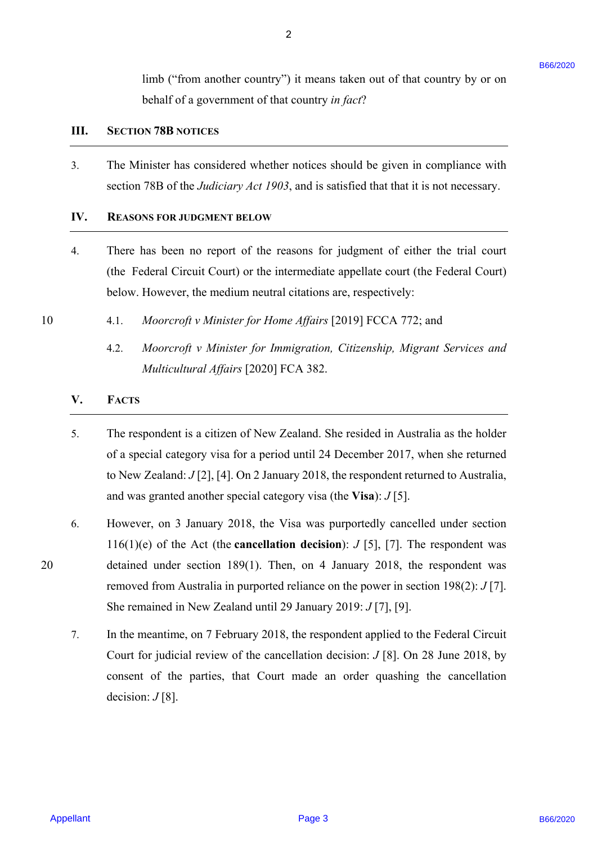limb ("from another country") it means taken out of that country by or on limb ("from another country") it means taken out of that country by or on behalf of a government of that country *in fact*? behalf of a government of that country in fact?

#### **III. SECTION 78B NOTICES** SECTION 78B NOTICES Hil.

3. The Minister has considered whether notices should be given in compliance with The Minister has considered whether notices should be given in compliance with section 78B of the *Judiciary Act 1903*, and is satisfied that that it is not necessary. section 78B of the Judiciary Act 1903, and is satisfied that that it is not necessary.

2

#### **IV. REASONS FOR JUDGMENT BELOW** REASONS FOR JUDGMENT BELOW IV.

- 4. There has been no report of the reasons for judgment of either the trial court There has been no report of the reasons for judgment of either the trial court (the Federal Circuit Court) or the intermediate appellate court (the Federal Court) below. However, the medium neutral citations are, respectively: below. However, the medium neutral citations are, respectively:
- 10 4.1. *Moorcroft v Minister for Home Affairs* [2019] FCCA 772; and 4.1. Moorcroft v Minister for Home Affairs [2019] FCCA 772; and
	- 4.2. *Moorcroft v Minister for Immigration, Citizenship, Migrant Services and*  4.2. Moorcroft v Minister for Immigration, Citizenship, Migrant Services and*Multicultural Affairs* [2020] FCA 382. Multicultural Affairs {2020] FCA 382.

#### **V. FACTS** FACTS

10

- 5. The respondent is a citizen of New Zealand. She resided in Australia as the holder The respondent is a citizen of New Zealand. She resided in Australia as the holder of a special category visa for a period until 24 December 2017, when she returned to New Zealand: *J* [2], [4]. On 2 January 2018, the respondent returned to Australia, to New Zealand: J [2], [4]. On 2 January 2018, the respondent returned to Australia, and was granted another special category visa (the **Visa**): *J* [5]. and was granted another special category visa (the Visa): J [5].
- 6. However, on 3 January 2018, the Visa was purportedly cancelled under section However, on <sup>3</sup> January 2018, the Visa was purportedly cancelled under section 116(1)(e) of the Act (the **cancellation decision**):  $J$  [5], [7]. The respondent was 20 detained under section 189(1). Then, on 4 January 2018, the respondent was detained under section 189(1). Then, on 4 January 2018, the respondent was removed from Australia in purported reliance on the power in section 198(2): *J* [7]. removed from Australia in purported reliance on the power in section 198(2): J [7]. She remained in New Zealand until 29 January 2019: *J* [7], [9]. She remained in New Zealand until 29 January 2019: J [7], [9]. time ("them another country") it means taken out of that country by or on<br>
Ushall of a govarnment of fast country is  $\beta_0 a t^2$ <br>
111. STCTIVY 7841 between variable validing the country is  $\beta_0 a t^2$ <br>
111. STCHUME the cons
	- 7. In the meantime, on 7 February 2018, the respondent applied to the Federal Circuit In the meantime, on <sup>7</sup> February 2018, the respondent applied to the Federal Circuit Court for judicial review of the cancellation decision: *J* [8]. On 28 June 2018, by Court for judicial review of the cancellation decision: J [8]. On 28 June 2018, by consent of the parties, that Court made an order quashing the cancellation decision:  $J[8]$ .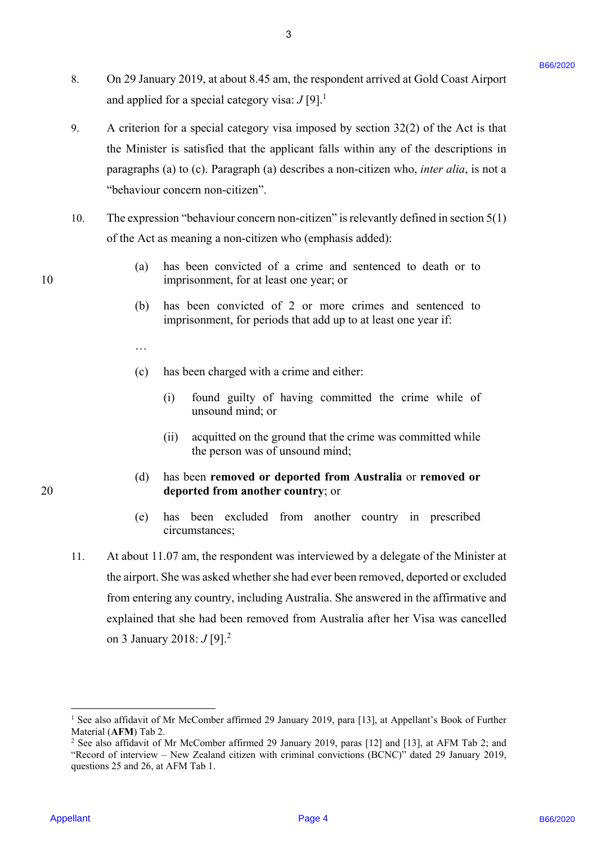8. On 29 January 2019, at about 8.45 am, the respondent arrived at Gold Coast Airport On 29 January 2019, at about 8.45 am, the respondent arrived at Gold Coast Airport and applied for a special category visa:  $J[9]$ <sup>1</sup> 8.

3

- 9. A criterion for a special category visa imposed by section 32(2) of the Act is that the Minister is satisfied that the applicant falls within any of the descriptions in the Minister is satisfied that the applicant falls within any of the descriptions in paragraphs (a) to (c). Paragraph (a) describes a non-citizen who, *inter alia*, is not a paragraphs (a) to (c). Paragraph (a) describes a non-citizen who, inter alia, is not a "behaviour concern non-citizen". "behaviour concern non-citizen'. 9.
- 10. The expression "behaviour concern non-citizen" is relevantly defined in section 5(1) The expression "behaviour concern non-citizen" is relevantly defined in section 5(1) of the Act as meaning a non-citizen who (emphasis added): of the Act as meaning a non-citizen who (emphasis added): 10.
- (a) has been convicted of a crime and sentenced to death or to (a) has been convicted of a crime and sentenced to death or to 10 imprisonment, for at least one year; or imprisonment, for at least one year; or
	- (b) has been convicted of 2 or more crimes and sentenced to (b) has been convicted of 2 or more crimes and sentenced to imprisonment, for periods that add up to at least one year if: imprisonment, for periods that add up to at least one year if:
	- …
	- (c) has been charged with a crime and either: (c) has been charged with <sup>a</sup> crime and either:
		- (i) found guilty of having committed the crime while of (i) found guilty of having committed the crime while of unsound mind; or unsound mind; or
		- (ii) acquitted on the ground that the crime was committed while the person was of unsound mind; the person was of unsound mind;
- (d) has been **removed or deported from Australia** or **removed or**  (d) has been removed or deported from Australia or removed or 20 **deported from another country**; or deported from another country; or
	- (e) has been excluded from another country in prescribed circumstances; circumstances;
- 11. At about 11.07 am, the respondent was interviewed by a delegate of the Minister at At about 11.07 am, the respondent was interviewed by a delegate of the Minister at the airport. She was asked whether she had ever been removed, deported or excluded from entering any country, including Australia. She answered in the affirmative and from entering any country, including Australia. She answered in the affirmative and explained that she had been removed from Australia after her Visa was cancelled explained that she had been removed from Australia after her Visa was cancelled on 3 January 2018: *J* [9].<sup>2</sup> 8. On 29 Immary 2019, at about 8.45 um, the respondent arrive of at fail of cost Airport<br>and applied for a special column  $\sim$  19 Page 10 and 19 and 2020 of the Art is that<br>the Minister for a special column be page 10 in 11.

1

<sup>&</sup>lt;sup>1</sup> See also affidavit of Mr McComber affirmed 29 January 2019, para [13], at Appellant's Book of Further Material (**AFM**) Tab 2.<br><sup>2</sup> See also affidavit of **N** 

<sup>&</sup>lt;sup>2</sup> See also affidavit of Mr McComber affirmed 29 January 2019, paras [12] and [13], at AFM Tab 2; and "Record of interview – New Zealand citizen with criminal convictions (BCNC)" dated 29 January 2019, "Record of interview — New Zealand citizen with criminal convictions (BCNC)" dated 29 January 2019, questions 25 and 26, at AFM Tab 1. questions 25 and 26, at AFM Tab 1.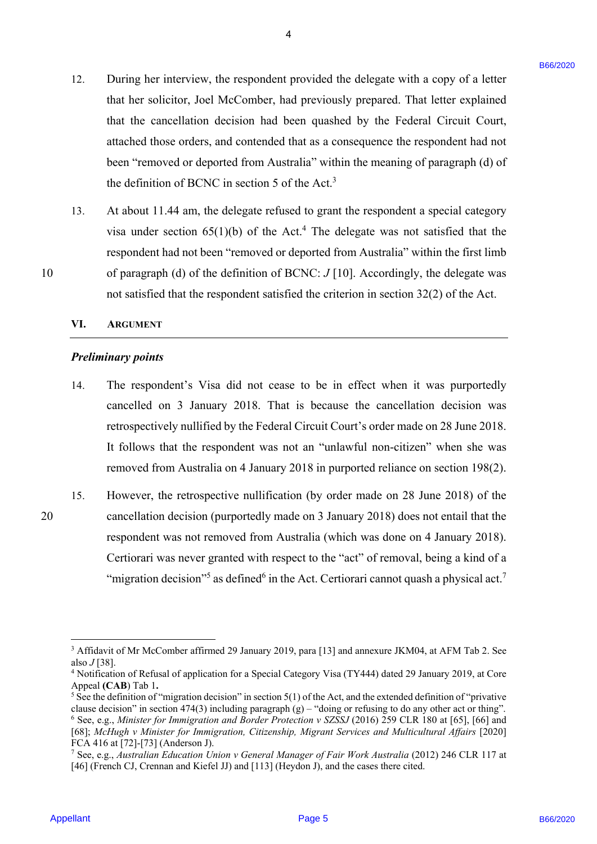12. During her interview, the respondent provided the delegate with a copy of a letter During her interview, the respondent provided the delegate with <sup>a</sup> copy of <sup>a</sup> letter that her solicitor, Joel McComber, had previously prepared. That letter explained that her solicitor, Joel McComber, had previously prepared. That letter explained that the cancellation decision had been quashed by the Federal Circuit Court, that the cancellation decision had been quashed by the Federal Circuit Court, attached those orders, and contended that as a consequence the respondent had not attached those orders, and contended that as a consequence the respondent had not been "removed or deported from Australia" within the meaning of paragraph (d) of been "removed or deported from Australia" within the meaning of paragraph (d) of the definition of BCNC in section 5 of the Act.<sup>3</sup> 12. During her interviews, the respondent provided the idealgate with a carge of a test wisite that has visited that the intervention and the street of the street of the street of the street of the street of the street of 12.

4

13. At about 11.44 am, the delegate refused to grant the respondent a special category At about 11.44 am, the delegate refused to grant the respondent a special category visa under section  $65(1)(b)$  of the Act.<sup>4</sup> The delegate was not satisfied that the respondent had not been "removed or deported from Australia" within the first limb respondent had not been "removed or deported from Australia" within the first limb 10 of paragraph (d) of the definition of BCNC: *J* [10]. Accordingly, the delegate was not satisfied that the respondent satisfied the criterion in section 32(2) of the Act. not satisfied that the respondent satisfied the criterion in section 32(2) of the Act. 13.

#### **VI. ARGUMENT** ARGUMENT VI.

### *Preliminary points*  Preliminary points

- 14. The respondent's Visa did not cease to be in effect when it was purportedly The respondent's Visa did not cease to be in effect when it was purportedly cancelled on 3 January 2018. That is because the cancellation decision was cancelled on <sup>3</sup> January 2018. That is because the cancellation decision was retrospectively nullified by the Federal Circuit Court's order made on 28 June 2018. retrospectively nullified by the Federal Circuit Court's order made on 28 June 2018. It follows that the respondent was not an "unlawful non-citizen" when she was It follows that the respondent was not an "unlawful non-citizen" when she was removed from Australia on 4 January 2018 in purported reliance on section 198(2). removed from Australia on 4 January 2018 in purported reliance on section 198(2). 14.
- 15. However, the retrospective nullification (by order made on 28 June 2018) of the However, the retrospective nullification (by order made on 28 June 2018) of the 20 cancellation decision (purportedly made on 3 January 2018) does not entail that the cancellation decision (purportedly made on <sup>3</sup> January 2018) does not entail that the respondent was not removed from Australia (which was done on 4 January 2018). respondent was not removed from Australia (which was done on 4 January 2018). Certiorari was never granted with respect to the "act" of removal, being a kind of a Certiorari was never granted with respect to the "act" of removal, being <sup>a</sup> kind of <sup>a</sup> "migration decision"<sup>5</sup> as defined<sup>6</sup> in the Act. Certiorari cannot quash a physical act.<sup>7</sup> 15.

20

10

<sup>&</sup>lt;sup>3</sup> Affidavit of Mr McComber affirmed 29 January 2019, para [13] and annexure JKM04, at AFM Tab 2. See also *J* [38].<br><sup>4</sup> Notificatio

<sup>&</sup>lt;sup>4</sup> Notification of Refusal of application for a Special Category Visa (TY444) dated 29 January 2019, at Core Appeal **(CAB**) Tab 1**.** Appeal (CAB) Tab 1.

<sup>&</sup>lt;sup>5</sup> See the definition of "migration decision" in section  $5(1)$  of the Act, and the extended definition of "privative" clause decision" in section 474(3) including paragraph  $(g)$  – "doing or refusing to do any other act or thing". <sup>6</sup> See, e.g., *Minister for Immigration and Border Protection v SZSSJ* (2016) 259 CLR 180 at [65], [66] and [68]; McHugh v Minister for Immigration, Citizenship, Migrant Services and Multicultural Affairs [2020] FCA 416 at [72]-[73] (Anderson J). FCA 416 at [72]-[73] (Anderson J).

<sup>&</sup>lt;sup>7</sup> See, e.g., Australian Education Union v General Manager of Fair Work Australia (2012) 246 CLR 117 at [46] (French CJ, Crennan and Kiefel JJ) and [113] (Heydon J), and the cases there cited.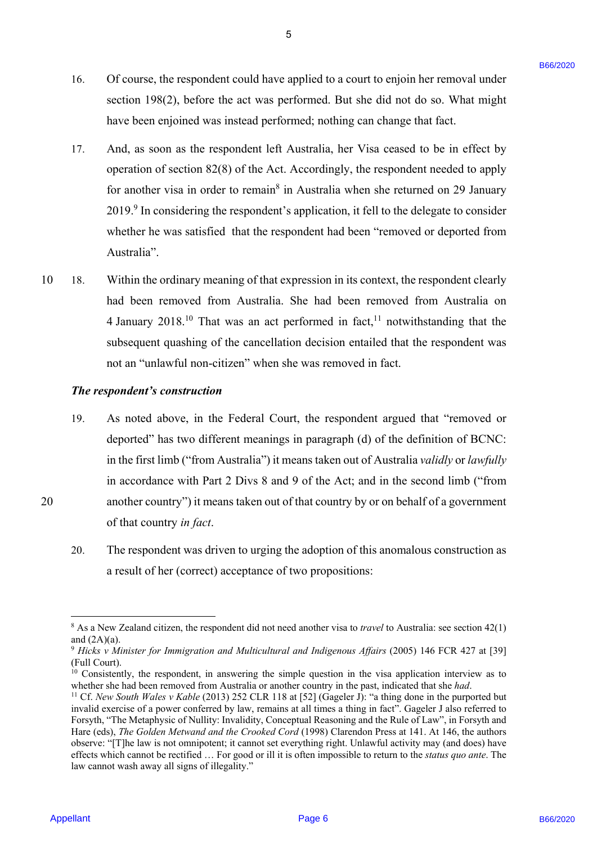16. Of course, the respondent could have applied to a court to enjoin her removal under 16. Of course, the respondent could have applied to a court to enjoin her removal under section 198(2), before the act was performed. But she did not do so. What might have been enjoined was instead performed; nothing can change that fact. have been enjoined was instead performed; nothing can change that fact.

5

- 17. And, as soon as the respondent left Australia, her Visa ceased to be in effect by 17. And, as soon as the respondent left Australia, her Visa ceased to be in effect by operation of section 82(8) of the Act. Accordingly, the respondent needed to apply operation of section 82(8) of the Act. Accordingly, the respondent needed to applyfor another visa in order to remain<sup>8</sup> in Australia when she returned on 29 January 2019.<sup>9</sup> In considering the respondent's application, it fell to the delegate to consider whether he was satisfied that the respondent had been "removed or deported from whether he was satisfied that the respondent had been "removed or deported from Australia". Australia".
- 10 18. Within the ordinary meaning of that expression in its context, the respondent clearly 18. Within the ordinary meaning of that expression in its context, the respondent clearly had been removed from Australia. She had been removed from Australia on had been removed from Australia. She had been removed from Australia on 4 January 2018.<sup>10</sup> That was an act performed in fact,<sup>11</sup> notwithstanding that the subsequent quashing of the cancellation decision entailed that the respondent was subsequent quashing of the cancellation decision entailed that the respondent was not an "unlawful non-citizen" when she was removed in fact. not an "unlawful non-citizen" when she was removed in fact. 10

### *The respondent's construction*  The respondent's construction

- 19. As noted above, in the Federal Court, the respondent argued that "removed or 19. As noted above, in the Federal Court, the respondent argued that "removed or deported" has two different meanings in paragraph (d) of the definition of BCNC: deported" has two different meanings in paragraph (d) of the definition of BCNC: in the first limb ("from Australia") it means taken out of Australia *validly* or *lawfully*  in the first limb ("from Australia') it means taken out of Australia validly or lawfullyin accordance with Part 2 Divs 8 and 9 of the Act; and in the second limb ("from in accordance with Part 2 Divs <sup>8</sup> and 9 of the Act; and in the second limb ("from 20 another country") it means taken out of that country by or on behalf of a government another country'') it means taken out of that country by or on behalfof a government of that country *in fact*. of that country in fact. 16. Of course, the respondent could have applied to a court to enjoin her removal under<br>notice (in 1982). Lyoks the acts was profound. But also do as to 0. What alight<br>have been explired some relation performed, wathing o
	- 20. The respondent was driven to urging the adoption of this anomalous construction as 20. The respondent was driven to urging the adoption of this anomalous construction as a result of her (correct) acceptance of two propositions: <sup>a</sup> result of her (correct) acceptance of two propositions:

<u>.</u>

 $8$  As a New Zealand citizen, the respondent did not need another visa to *travel* to Australia: see section  $42(1)$ and (2A)(a). and (2A)(a).

<sup>&</sup>lt;sup>9</sup> Hicks v Minister for Immigration and Multicultural and Indigenous Affairs (2005) 146 FCR 427 at [39] (Full Court). (Full Court).

 $10$  Consistently, the respondent, in answering the simple question in the visa application interview as to whether she had been removed from Australia or another country in the past, indicated that she *had*.<br><sup>11</sup> Cf. *New South Wales v Kable* (2013) 252 CLR 118 at [52] (Gageler J): "a thing done in the purported but whether she had been removed from Australia or another country in the past, indicated that she had.

invalid exercise of a power conferred by law, remains at all times a thing in fact". Gageler J also referred to invalid exercise of a power conferred by law, remains at all times a thing in fact". Gageler <sup>J</sup> also referred to Forsyth, "The Metaphysic of Nullity: Invalidity, Conceptual Reasoning and the Rule of Law", in Forsyth and Hare (eds), *The Golden Metwand and the Crooked Cord* (1998) Clarendon Press at 141. At 146, the authors Hare (eds), The Golden Metwand and the Crooked Cord (1998) Clarendon Press at 141. At 146, the authors observe: "[T]he law is not omnipotent; it cannot set everything right. Unlawful activity may (and does) have observe: "[T]he law is not omnipotent; it cannot set everything right. Unlawful activity may (and does) have effects which cannot be rectified ... For good or ill it is often impossible to return to the *status quo ante*. The law cannot wash away all signs of illegality." law cannot wash away all signs of illegality."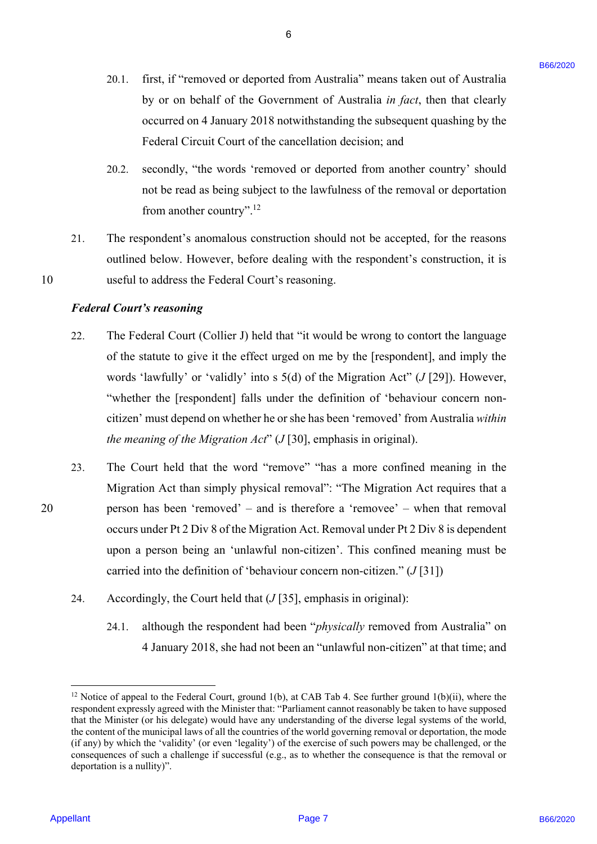20.1. first, if "removed or deported from Australia" means taken out of Australia 20.1. first, if "removed or deported from Australia" means taken out of Australia by or on behalf of the Government of Australia *in fact*, then that clearly by or on behalf of the Government of Australia in fact, then that clearly occurred on 4 January 2018 notwithstanding the subsequent quashing by the occurred on 4 January 2018 notwithstanding the subsequent quashing by the Federal Circuit Court of the cancellation decision; and Federal Circuit Court of the cancellation decision; and

6

- 20.2. secondly, "the words 'removed or deported from another country' should 20.2. secondly, "the words 'removed or deported from another country' should not be read as being subject to the lawfulness of the removal or deportation not be read as being subject to the lawfulness of the removal or deportation from another country".<sup>12</sup>
- 21. The respondent's anomalous construction should not be accepted, for the reasons The respondent's anomalous construction should not be accepted, for the reasonsoutlined below. However, before dealing with the respondent's construction, it is 10 useful to address the Federal Court's reasoning. useful to address the Federal Court's reasoning. 21.

### *Federal Court's reasoning*  Federal Court's reasoning

- 22. The Federal Court (Collier J) held that "it would be wrong to contort the language The Federal Court (Collier J) held that "it would be wrong to contort the language of the statute to give it the effect urged on me by the [respondent], and imply the of the statute to give it the effect urged on me by the [respondent], and imply the words 'lawfully' or 'validly' into s 5(d) of the Migration Act" (*J* [29]). However, words 'lawfully' or 'validly' into <sup>s</sup> 5(d) of the Migration Act" (J [29]). However, "whether the [respondent] falls under the definition of 'behaviour concern non-"whether the [respondent] falls under the definition of 'behaviour concern noncitizen' must depend on whether he or she has been 'removed' from Australia *within*  citizen' must depend on whether he or she has been 'removed' from Australia within *the meaning of the Migration Act*" (*J* [30], emphasis in original). the meaning of the Migration Act" (J [30], emphasis in original). 22.
- 23. The Court held that the word "remove" "has a more confined meaning in the The Court held that the word "remove" "has <sup>a</sup> more confined meaning in the Migration Act than simply physical removal": "The Migration Act requires that a Migration Act than simply physical removal": "The Migration Act requires that <sup>a</sup> 20 person has been 'removed' – and is therefore a 'removee' – when that removal person has been 'removed' — and is therefore a 'removee' — when that removal occurs under Pt 2 Div 8 of the Migration Act. Removal under Pt 2 Div 8 is dependent upon a person being an 'unlawful non-citizen'. This confined meaning must be upon <sup>a</sup> person being an 'unlawful non-citizen'. This confined meaning must be carried into the definition of 'behaviour concern non-citizen." (*J* [31]) carried into the definition of 'behaviour concern non-citizen." (J [31]) 20. I. tiret, s<sup>2</sup> removed or depended from Anemals<sup>2</sup> means taken out of Assemble opera condition of the Government of Assemble operation of Assemble operation of Assemble operation of the simulation of the simulation of 23.
	- 24. Accordingly, the Court held that (*J* [35], emphasis in original): Accordingly, the Court held that (J [35], emphasis in original): 24.
		- 24.1. although the respondent had been "*physically* removed from Australia" on 24.1. although the respondent had been "physically removed from Australia" on 4 January 2018, she had not been an "unlawful non-citizen" at that time; and 4 January 2018, she had not been an "unlawful non-citizen" at that time; and

10

<u>.</u>

<sup>&</sup>lt;sup>12</sup> Notice of appeal to the Federal Court, ground 1(b), at CAB Tab 4. See further ground 1(b)(ii), where the respondent expressly agreed with the Minister that: "Parliament cannot reasonably be taken to have supposed that the Minister (or his delegate) would have any understanding of the diverse legal systems of the world, that the Minister (or his delegate) would have any understanding of the diverse legal systems of the world, the content of the municipal laws of all the countries of the world governing removal or deportation, the mode the content of the municipal laws of all the countries of the world governing removal or deportation, the mode (if any) by which the 'validity' (or even 'legality') of the exercise of such powers may be challenged, or the (if any) by which the 'validity' (or even 'legality') of the exercise of such powers may be challenged, or the consequences of such a challenge if successful (e.g., as to whether the consequence is that the removal or consequences of such <sup>a</sup> challenge if successful (e.g., as to whether the consequence is that the removal or deportation is a nullity)". deportation is a nullity)".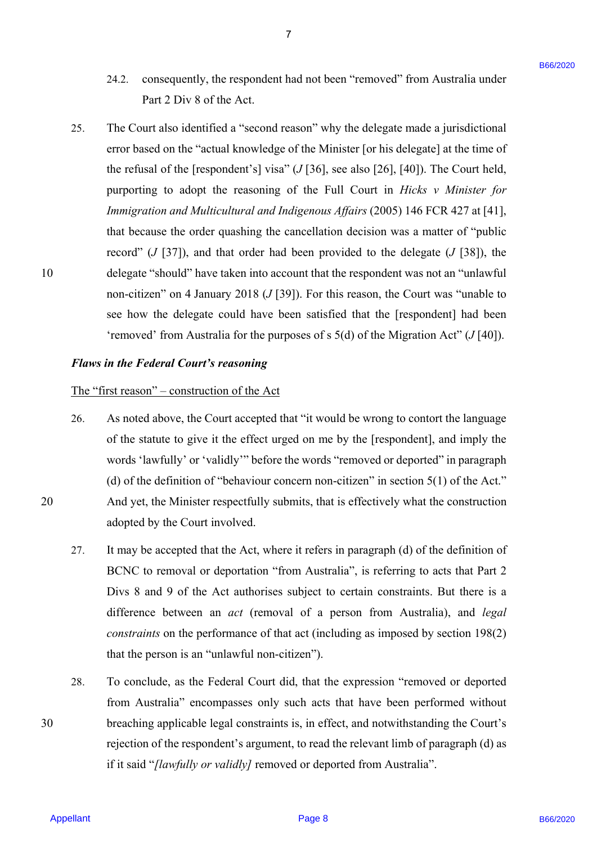24.2. consequently, the respondent had not been "removed" from Australia under 24.2. consequently, the respondent had not been "removed" from Australia under Part 2 Div 8 of the Act. Part 2 Div 8 of the Act.

7

25. The Court also identified a "second reason" why the delegate made a jurisdictional The Court also identified a "second reason" why the delegate made <sup>a</sup> jurisdictional error based on the "actual knowledge of the Minister [or his delegate] at the time of error based on the "actual knowledge of the Minister [or his delegate] at the time ofthe refusal of the [respondent's] visa"  $(J[36]$ , see also [26], [40]). The Court held, purporting to adopt the reasoning of the Full Court in *Hicks v Minister for*  purporting to adopt the reasoning of the Full Court in Hicks v Minister for *Immigration and Multicultural and Indigenous Affairs* (2005) 146 FCR 427 at [41], Immigration and Multicultural and Indigenous Affairs (2005) 146 FCR 427 at [41], that because the order quashing the cancellation decision was a matter of "public that because the order quashing the cancellation decision was <sup>a</sup> matter of "public record" (*J* [37]), and that order had been provided to the delegate (*J* [38]), the 10 delegate "should" have taken into account that the respondent was not an "unlawful delegate "should" have taken into account that the respondent was not an "unlawful non-citizen" on 4 January 2018 (*J* [39]). For this reason, the Court was "unable to non-citizen" on 4 January 2018 (J [39]). For this reason, the Court was "unable to see how the delegate could have been satisfied that the [respondent] had been see how the delegate could have been satisfied that the [respondent] had been 'removed' from Australia for the purposes of s 5(d) of the Migration Act" (*J* [40]). 24.2. consequently, the respondent had reaches ""removen" from Australia under<br>EFRI 2008 8 dCa Act.<br>
25. The Court also identified a "second coases" why the dolesgats andc a jurisdictional<br>
environment of the first Act Ac 25.

### *Flaws in the Federal Court's reasoning*  Flaws in the Federal Court's reasoning

#### The "first reason" – construction of the Act The "first reason" — construction of the Act

- 26. As noted above, the Court accepted that "it would be wrong to contort the language As noted above, the Court accepted that "it would be wrong to contort the language of the statute to give it the effect urged on me by the [respondent], and imply the of the statute to give it the effect urged on me by the [respondent], and imply the words 'lawfully' or 'validly'" before the words "removed or deported" in paragraph words 'lawfully' or 'validly'" before the words "removed or deported" in paragraph(d) of the definition of "behaviour concern non-citizen" in section  $5(1)$  of the Act." 20 And yet, the Minister respectfully submits, that is effectively what the construction And yet, the Minister respectfully submits, that is effectively what the construction adopted by the Court involved. adopted by the Court involved. 26.
	- 27. It may be accepted that the Act, where it refers in paragraph (d) of the definition of It may be accepted that the Act, where it refers in paragraph (d) of the definition of BCNC to removal or deportation "from Australia", is referring to acts that Part 2 BCNC to removal or deportation "from Australia", is referring to acts that Part 2 Divs 8 and 9 of the Act authorises subject to certain constraints. But there is a Divs <sup>8</sup> and 9 of the Act authorises subject to certain constraints. But there is <sup>a</sup> difference between an *act* (removal of a person from Australia), and *legal*  difference between an act (removal of <sup>a</sup> person from Australia), and /egal constraints on the performance of that act (including as imposed by section 198(2) that the person is an "unlawful non-citizen"). that the person is an "unlawful non-citizen"). 27.
- 28. To conclude, as the Federal Court did, that the expression "removed or deported To conclude, as the Federal Court did, that the expression "removed or deported from Australia" encompasses only such acts that have been performed without from Australia" encompasses only such acts that have been performed without 30 breaching applicable legal constraints is, in effect, and notwithstanding the Court's breaching applicable legal constraints is, in effect, and notwithstanding the Court's rejection of the respondent's argument, to read the relevant limb of paragraph (d) as if it said "[lawfully or validly] removed or deported from Australia". 28.

10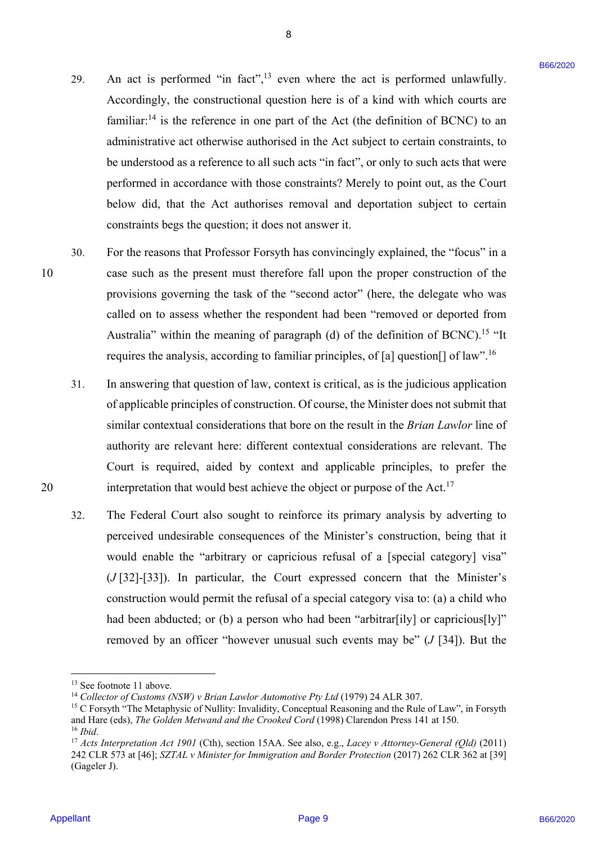29. An act is performed "in fact", $13$  even where the act is performed unlawfully. Accordingly, the constructional question here is of a kind with which courts are Accordingly, the constructional question here is of <sup>a</sup> kind with which courts are familiar: $^{14}$  is the reference in one part of the Act (the definition of BCNC) to an administrative act otherwise authorised in the Act subject to certain constraints, to administrative act otherwise authorised in the Act subject to certain constraints, to be understood as a reference to all such acts "in fact", or only to such acts that were be understood as <sup>a</sup> reference to all such acts "in fact", or only to such acts that were performed in accordance with those constraints? Merely to point out, as the Court performed in accordance with those constraints? Merely to point out, as the Court below did, that the Act authorises removal and deportation subject to certain below did, that the Act authorises removal and deportation subject to certain constraints begs the question; it does not answer it. 39. An act is performed "in fanc",<sup>13</sup> even whree the act is performed minorlally.<br>Accordingly, the constructional quotient toto is of a facial with which counts of a measure functional entropy the constraints to facial w 29.

8

- 30. For the reasons that Professor Forsyth has convincingly explained, the "focus" in a For the reasons that Professor Forsyth has convincingly explained, the "focus" in <sup>a</sup> 10 case such as the present must therefore fall upon the proper construction of the case such as the present must therefore fall upon the proper construction of the provisions governing the task of the "second actor" (here, the delegate who was provisions governing the task of the "second actor" (here, the delegate who was called on to assess whether the respondent had been "removed or deported from called on to assess whether the respondent had been "removed or deported from Australia" within the meaning of paragraph (d) of the definition of BCNC).<sup>15</sup> "It requires the analysis, according to familiar principles, of [a] question[] of law".<sup>16</sup> 30.
- 31. In answering that question of law, context is critical, as is the judicious application In answering that question of law, context is critical, as is the judicious application of applicable principles of construction. Of course, the Minister does not submit that similar contextual considerations that bore on the result in the *Brian Lawlor* line of similar contextual considerations that bore on the result in the Brian Lawlor line ofauthority are relevant here: different contextual considerations are relevant. The authority are relevant here: different contextual considerations are relevant. The Court is required, aided by context and applicable principles, to prefer the Court is required, aided by context and applicable principles, to prefer the 20 interpretation that would best achieve the object or purpose of the Act.<sup>17</sup> 31.
	- 32. The Federal Court also sought to reinforce its primary analysis by adverting to The Federal Court also sought to reinforce its primary analysis by adverting to perceived undesirable consequences of the Minister's construction, being that it perceived undesirable consequences of the Minister's construction, being that it would enable the "arbitrary or capricious refusal of a [special category] visa" would enable the "arbitrary or capricious refusal of a [special category] visa" (*J* [32]-[33]). In particular, the Court expressed concern that the Minister's (J [32]-[33]). In particular, the Court expressed concern that the Minister's construction would permit the refusal of a special category visa to: (a) a child who construction would permit the refusal of <sup>a</sup> special category visa to: (a) <sup>a</sup> child who had been abducted; or (b) a person who had been "arbitrar[ily] or capricious[ly]" had been abducted; or (b) a person who had been "arbitrar[ily] or capricious[ly]" removed by an officer "however unusual such events may be" (*J* [34]). But the 32.

1

20

<sup>&</sup>lt;sup>13</sup> See footnote 11 above.

<sup>&</sup>lt;sup>14</sup> Collector of Customs (NSW) v Brian Lawlor Automotive Pty Ltd (1979) 24 ALR 307.

<sup>&</sup>lt;sup>14</sup> Collector of Customs (NSW) v Brian Lawlor Automotive Pty Ltd (1979) 24 ALR 307.<br><sup>15</sup> C Forsyth "The Metaphysic of Nullity: Invalidity, Conceptual Reasoning and the Rule of Law", in Forsyth and Hare (eds), *The Golden Metwand and the Crooked Cord* (1998) Clarendon Press 141 at 150.<br><sup>16</sup> Ibid.<br><sup>17</sup> Acts Interpretation Act 1901 (Cth), section 15AA. See also, e.g., *Lacey v Attorney-General (Qld)* (2011) and Hare (eds), The Golden Metwand and the Crooked Cord (1998) Clarendon Press 141 at 150.  $16$  *Ihid*.

<sup>242</sup> CLR 573 at [46]; *SZTAL v Minister for Immigration and Border Protection* (2017) 262 CLR 362 at [39] 242 CLR 573 at [46]; SZTAL v Ministerfor Immigration and Border Protection (2017) 262 CLR 362 at [39] (Gageler J). (Gageler J).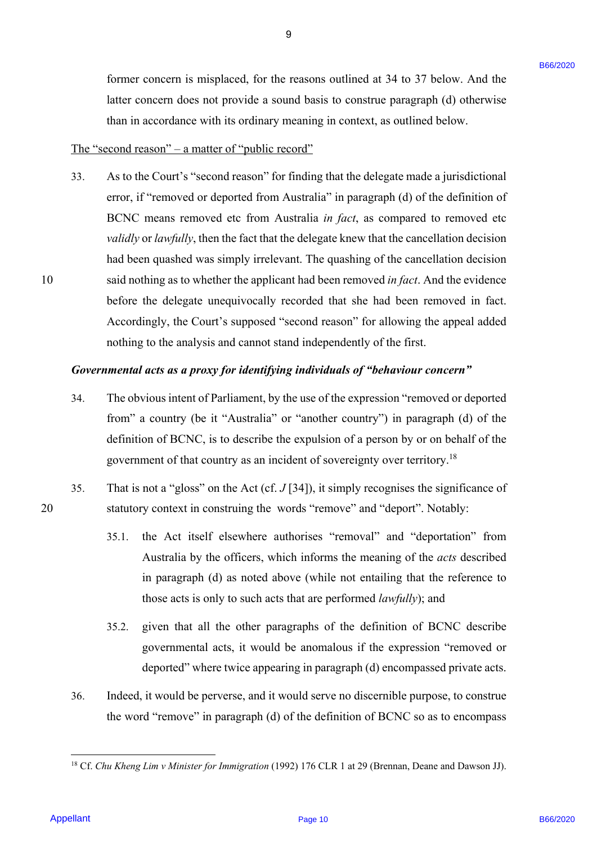former concern is misplaced, for the reasons outlined at 34 to 37 below. And the former concern is misplaced, for the reasons outlined at 34 to 37 below. And the latter concern does not provide a sound basis to construe paragraph (d) otherwise latter concern does not provide a sound basis to construe paragraph (d) otherwise than in accordance with its ordinary meaning in context, as outlined below. than in accordance with its ordinary meaning in context, as outlined below.

9

## The "second reason" – a matter of "public record"

33. As to the Court's "second reason" for finding that the delegate made a jurisdictional 33. As to the Court's "second reason" for finding that the delegate made ajurisdictional error, if "removed or deported from Australia" in paragraph (d) of the definition of BCNC means removed etc from Australia *in fact*, as compared to removed etc BCNC means removed etc from Australia in fact, as compared to removed etc validly or lawfully, then the fact that the delegate knew that the cancellation decision had been quashed was simply irrelevant. The quashing of the cancellation decision had been quashed was simply irrelevant. The quashing of the cancellation decision 10 said nothing as to whether the applicant had been removed *in fact*. And the evidence said nothing as to whether the applicant had been removed infact. And the evidence before the delegate unequivocally recorded that she had been removed in fact. before the delegate unequivocally recorded that she had been removed in fact. Accordingly, the Court's supposed "second reason" for allowing the appeal added Accordingly, the Court's supposed "second reason" for allowing the appeal added nothing to the analysis and cannot stand independently of the first. nothing to the analysis and cannot stand independently of the first. former concern is misplaced, for the nearent outlined at 34 to 37 below. And the latter concern does and based as some based on specified as some based as some based as some based as some based as the some page in (0) obs

# Governmental acts as a proxy for identifying individuals of "behaviour concern"

- 34. The obvious intent of Parliament, by the use of the expression "removed or deported The obvious intent of Parliament, by the use of the expression "removed or deported from" a country (be it "Australia" or "another country") in paragraph (d) of the from" <sup>a</sup> country (be it "Australia" or "another country") in paragraph (d) of the definition of BCNC, is to describe the expulsion of a person by or on behalf of the definition of BCNC, is to describe the expulsion of a person by or on behalf of the government of that country as an incident of sovereignty over territory.<sup>18</sup> 34.
- 35. That is not a "gloss" on the Act (cf.  $J$  [34]), it simply recognises the significance of 20 statutory context in construing the words "remove" and "deport". Notably: statutory context in construing the words "remove" and "deport". Notably: 35.
	- 35.1. the Act itself elsewhere authorises "removal" and "deportation" from Australia by the officers, which informs the meaning of the *acts* described Australia by the officers, which informs the meaning of the acts described in paragraph (d) as noted above (while not entailing that the reference to in paragraph (d) as noted above (while not entailing that the reference to those acts is only to such acts that are performed *lawfully*); and
	- 35.2. given that all the other paragraphs of the definition of BCNC describe 35.2. given that all the other paragraphs of the definition of BCNC describe governmental acts, it would be anomalous if the expression "removed or governmental acts, it would be anomalous if the expression "removed or deported" where twice appearing in paragraph (d) encompassed private acts. deported" where twice appearing in paragraph (d) encompassed private acts.
	- 36. Indeed, it would be perverse, and it would serve no discernible purpose, to construe Indeed, it would be perverse, and it would serve no discernible purpose, to construe the word "remove" in paragraph (d) of the definition of BCNC so as to encompass the word "remove" in paragraph (d) of the definition of BCNC so as to encompass 36.

<u>.</u>

10

<sup>&</sup>lt;sup>18</sup> Cf. *Chu Kheng Lim v Minister for Immigration* (1992) 176 CLR 1 at 29 (Brennan, Deane and Dawson JJ).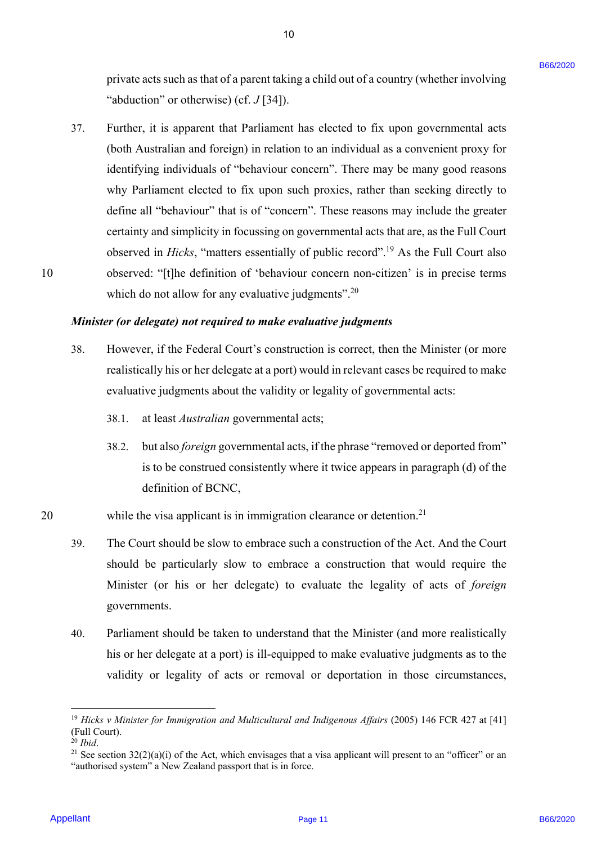private acts such as that of a parent taking a child out of a country (whether involving private acts such as that of aparent taking <sup>a</sup> child out of <sup>a</sup> country (whether involving "abduction" or otherwise) (cf. *J* [34]). "abduction" or otherwise) (cf. J [34]).

10 10

37. Further, it is apparent that Parliament has elected to fix upon governmental acts Further, it is apparent that Parliament has elected to fix upon governmental acts (both Australian and foreign) in relation to an individual as a convenient proxy for (both Australian and foreign) in relation to an individual as a convenient proxy for identifying individuals of "behaviour concern". There may be many good reasons identifying individuals of "behaviour concern". There may be many good reasons why Parliament elected to fix upon such proxies, rather than seeking directly to why Parliament elected to fix upon such proxies, rather than seeking directly to define all "behaviour" that is of "concern". These reasons may include the greater define all "behaviour" that is of "concern". These reasons may include the greater certainty and simplicity in focussing on governmental acts that are, as the Full Court certainty and simplicity in focussing on governmental acts that are, as the Full Court observed in *Hicks*, "matters essentially of public record".<sup>19</sup> As the Full Court also 10 observed: "[t]he definition of 'behaviour concern non-citizen' is in precise terms observed: "[t]he definition of 'behaviour concern non-citizen' is in precise terms which do not allow for any evaluative judgments".<sup>20</sup> privare acts such as that of a power intergral child on of a country (whether nevolving<br>
"Solutions" or schewins) (of . (7-16).<br>
The line of steady is offer that B66/2010 B66/2020 page averance and<br>
(btah Australian and f 37.

#### *Minister (or delegate) not required to make evaluative judgments*  Minister (or delegate) not required to make evaluative judgments

- 38. However, if the Federal Court's construction is correct, then the Minister (or more However, if the Federal Court's construction is correct, then the Minister (or more realistically his or her delegate at a port) would in relevant cases be required to make realistically his or her delegate at <sup>a</sup> port) would in relevant cases be required to make evaluative judgments about the validity or legality of governmental acts: evaluative judgments about the validity or legality of governmental acts: 38.
	- 38.1. at least *Australian* governmental acts;
	- 38.2. but also *foreign* governmental acts, if the phrase "removed or deported from" is to be construed consistently where it twice appears in paragraph (d) of the is to be construed consistently where it twice appears in paragraph (d) of the definition of BCNC, definition of BCNC,
- 20 while the visa applicant is in immigration clearance or detention.<sup>21</sup>
	- 39. The Court should be slow to embrace such a construction of the Act. And the Court The Court should be slow to embrace such <sup>a</sup> construction of the Act. And the Court should be particularly slow to embrace a construction that would require the should be particularly slow to embrace a construction that would require the Minister (or his or her delegate) to evaluate the legality of acts of *foreign* Minister (or his or her delegate) to evaluate the legality of acts of foreign governments. governments. 39.
	- 40. Parliament should be taken to understand that the Minister (and more realistically Parliament should be taken to understand that the Minister (and more realistically his or her delegate at a port) is ill-equipped to make evaluative judgments as to the his or her delegate at <sup>a</sup> port) is ill-equipped to make evaluative judgments as to the validity or legality of acts or removal or deportation in those circumstances, validity or legality of acts or removal or deportation in those circumstances, 40.

1

<sup>&</sup>lt;sup>19</sup> Hicks v Minister for Immigration and Multicultural and Indigenous Affairs (2005) 146 FCR 427 at [41] (Full Court). (Full Court).

 $^{20}$  Ibid.

<sup>&</sup>lt;sup>20</sup> Ibid.<br><sup>21</sup> See section 32(2)(a)(i) of the Act, which envisages that a visa applicant will present to an "officer" or an "authorised system" a New Zealand passport that is in force. "authorised system" a New Zealand passport that is in force.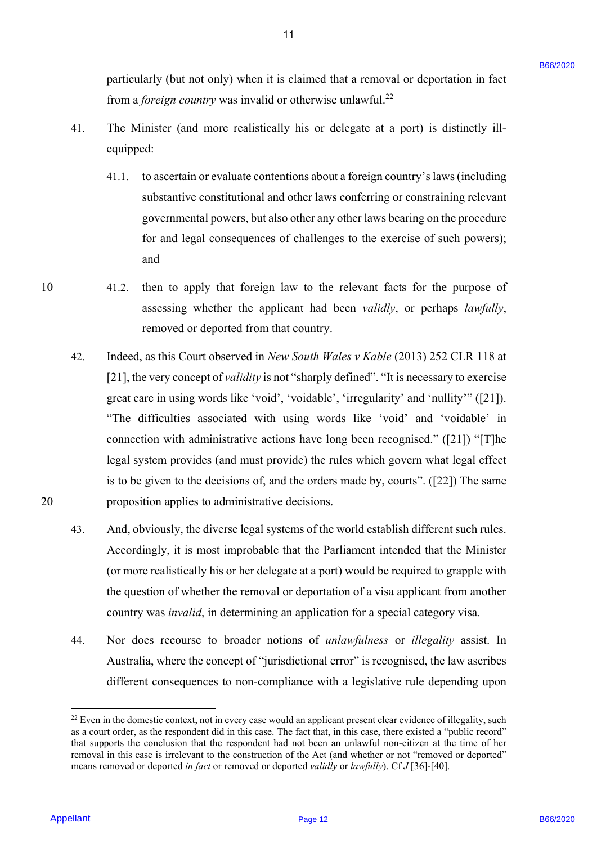particularly (but not only) when it is claimed that a removal or deportation in fact particularly (but not only) when it is claimed that <sup>a</sup> removal or deportation in fact from a *foreign country* was invalid or otherwise unlawful.<sup>22</sup>

41. The Minister (and more realistically his or delegate at a port) is distinctly ill-The Minister (and more realistically his or delegate at a port) is distinctly illequipped: equipped: Al.

11 11

- 41.1. to ascertain or evaluate contentions about a foreign country's laws (including 41.1. to ascertain or evaluate contentions about a foreign country's laws (including substantive constitutional and other laws conferring or constraining relevant substantive constitutional and other laws conferring or constraining relevant governmental powers, but also other any other laws bearing on the procedure governmental powers, but also other any other laws bearing on the procedure for and legal consequences of challenges to the exercise of such powers); for and legal consequences of challenges to the exercise of such powers); and and
- 10 41.2. then to apply that foreign law to the relevant facts for the purpose of 41.2. then to apply that foreign law to the relevant facts for the purpose of assessing whether the applicant had been *validly*, or perhaps *lawfully*, removed or deported from that country. removed or deported from that country. 10
- 42. Indeed, as this Court observed in *New South Wales v Kable* (2013) 252 CLR 118 at Indeed, as this Court observed in New South Wales v Kable (2013) 252 CLR 118 at [21], the very concept of *validity* is not "sharply defined". "It is necessary to exercise [21], the very concept of validity is not "sharply defined". "It is necessary to exercise great care in using words like 'void', 'voidable', 'irregularity' and 'nullity'" ([21]). great care in using words like 'void', 'voidable', 'irregularity' and 'nullity'" ([21]). "The difficulties associated with using words like 'void' and 'voidable' in "The difficulties associated with using words like 'void' and 'voidable' in connection with administrative actions have long been recognised." ([21]) "[T]he connection with administrative actions have long been recognised." ([21]) "[T]he legal system provides (and must provide) the rules which govern what legal effect is to be given to the decisions of, and the orders made by, courts". ([22]) The same is to be given to the decisions of, and the orders made by, courts". ([22]) The same 20 proposition applies to administrative decisions. proposition applies to administrative decisions. particularly (but not only) when it is characted that a removal or dependent in the<br>
from a goodge contry was invulid or otherwise unlevering."<br>
41. To Minister (and more realisability his or delayere at a port) is distin 42.
	- 43. And, obviously, the diverse legal systems of the world establish different such rules. And, obviously, the diverse legal systems of the world establish different such rules. Accordingly, it is most improbable that the Parliament intended that the Minister Accordingly, it is most improbable that the Parliament intended that the Minister (or more realistically his or her delegate at a port) would be required to grapple with (or more realistically his or her delegate at <sup>a</sup> port) would be required to grapple with the question of whether the removal or deportation of a visa applicant from another the question of whether the removal or deportation of a visa applicant from another country was *invalid*, in determining an application for a special category visa. country was invalid, in determining an application for <sup>a</sup> special category visa. 43.
	- 44. Nor does recourse to broader notions of *unlawfulness* or *illegality* assist. In Nor does recourse to broader notions of unlawfulness or illegality assist. In Australia, where the concept of "jurisdictional error" is recognised, the law ascribes Australia, where the concept of "jurisdictional error" is recognised, the law ascribes different consequences to non-compliance with a legislative rule depending upon different consequences to non-compliance with <sup>a</sup> legislative rule depending upon 44,

20

 $22$  Even in the domestic context, not in every case would an applicant present clear evidence of illegality, such as a court order, as the respondent did in this case. The fact that, in this case, there existed a "public record" that supports the conclusion that the respondent had not been an unlawful non-citizen at the time of her that supports the conclusion that the respondent had not been an unlawful non-citizen at the time of her removal in this case is irrelevant to the construction of the Act (and whether or not "removed or deported" means removed or deported *in fact* or removed or deported *validly* or *lawfully*). Cf *J* [36]-[40]. means removed or deported in fact or removed or deported validly or lawfully). Cf J [36]-[40].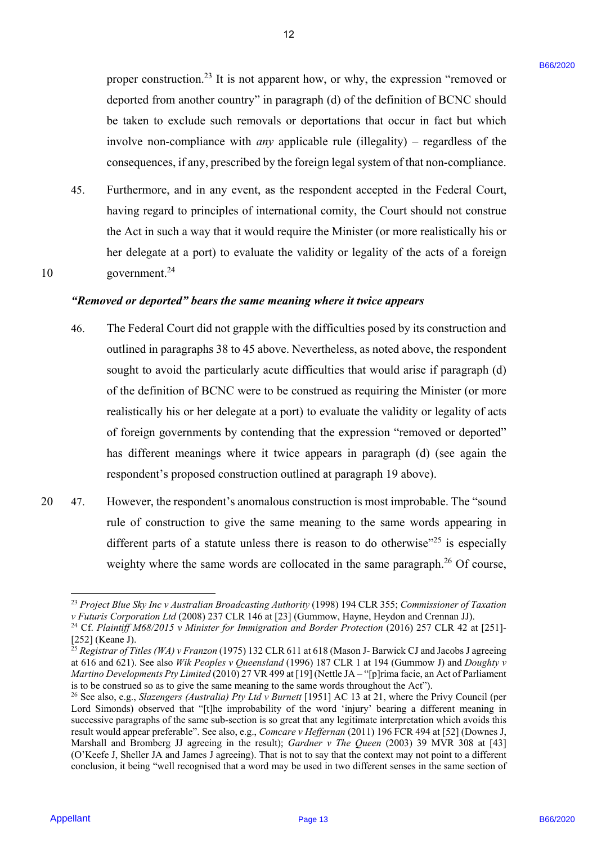proper construction.<sup>23</sup> It is not apparent how, or why, the expression "removed or deported from another country" in paragraph (d) of the definition of BCNC should deported from another country" in paragraph (d) of the definition of BCNC should be taken to exclude such removals or deportations that occur in fact but which be taken to exclude such removals or deportations that occur in fact but which involve non-compliance with *any* applicable rule (illegality) – regardless of the involve non-compliance with any applicable rule (illegality) — regardless of the consequences, if any, prescribed by the foreign legal system of that non-compliance. consequences, ifany, prescribed by the foreign legal system of that non-compliance.

45. Furthermore, and in any event, as the respondent accepted in the Federal Court, 45, Furthermore, and in any event, as the respondent accepted in the Federal Court, having regard to principles of international comity, the Court should not construe having regard to principles of international comity, the Court should not construe the Act in such a way that it would require the Minister (or more realistically his or the Act in such a way that it would require the Minister (or more realistically his or her delegate at a port) to evaluate the validity or legality of the acts of a foreign her delegate at a port) to evaluate the validity or legality of the acts of a foreign 10 government.<sup>24</sup>

*"Removed or deported" bears the same meaning where it twice appears* "Removed or deported" bears the same meaning where it twice appears

- 46. The Federal Court did not grapple with the difficulties posed by its construction and 46. The Federal Court did not grapple with the difficulties posed by its construction and outlined in paragraphs 38 to 45 above. Nevertheless, as noted above, the respondent sought to avoid the particularly acute difficulties that would arise if paragraph (d) sought to avoid the particularly acute difficulties that would arise if paragraph (d) of the definition of BCNC were to be construed as requiring the Minister (or more realistically his or her delegate at a port) to evaluate the validity or legality of acts realistically his or her delegate at <sup>a</sup> port) to evaluate the validity or legality of acts of foreign governments by contending that the expression "removed or deported" of foreign governments by contending that the expression "removed or deported" has different meanings where it twice appears in paragraph (d) (see again the has different meanings where it twice appears in paragraph (d) (see again the respondent's proposed construction outlined at paragraph 19 above). respondent's proposed construction outlined at paragraph 19 above). proper construction.<sup>23</sup> It is not interprene how, or why, the expression "removed or<br>dopoted from another constraint paragraph (d) of the definition of BCVC double<br>be interesting the properties with any applicable relati
- 20 47. However, the respondent's anomalous construction is most improbable. The "sound 47. | However, the respondent's anomalous construction is most improbable. The "sound rule of construction to give the same meaning to the same words appearing in different parts of a statute unless there is reason to do otherwise<sup> $25$ </sup> is especially weighty where the same words are collocated in the same paragraph.<sup>26</sup> Of course, 20

1

<sup>&</sup>lt;sup>23</sup> Project Blue Sky Inc v Australian Broadcasting Authority (1998) 194 CLR 355; Commissioner of Taxation v Futuris Corporation Ltd (2008) 237 CLR 146 at [23] (Gummow, Hayne, Heydon and Crennan JJ).

v Futuris Corporation Ltd (2008) 237 CLR 146 at [23] (Gummow, Hayne, Heydon and Crennan JJ).<br><sup>24</sup> Cf. Plaintiff M68/2015 v Minister for Immigration and Border Protection (2016) 257 CLR 42 at [251]-[252] (Keane J). [252] (Keane J).

<sup>&</sup>lt;sup>25</sup> Registrar of Titles (WA) v Franzon (1975) 132 CLR 611 at 618 (Mason J- Barwick CJ and Jacobs J agreeing at 616 and 621). See also *Wik Peoples v Queensland* (1996) 187 CLR 1 at 194 (Gummow J) and *Doughty v*  at 616 and 621). See also Wik Peoples v Queensland (1996) 187 CLR 1 at 194 (Gummow J) and Doughty v*Martino Developments Pty Limited* (2010) 27 VR 499 at [19] (Nettle JA – "[p]rima facie, an Act of Parliament Martino Developments Pty Limited (2010) 27 VR 499 at [19] (Nettle JA — "[p]rima facie, an Act of Parliament is to be construed so as to give the same meaning to the same words throughout the Act"). is to be construed so as to give the same meaning to the same words throughout the Act').

<sup>&</sup>lt;sup>26</sup> See also, e.g., *Slazengers (Australia) Pty Ltd v Burnett* [1951] AC 13 at 21, where the Privy Council (per Lord Simonds) observed that "[t]he improbability of the word 'injury' bearing a different meaning in Lord Simonds) observed that "[t]he improbability of the word 'injury' bearing a different meaning in successive paragraphs of the same sub-section is so great that any legitimate interpretation which avoids this successive paragraphs of the same sub-section is so great that any legitimate interpretation which avoids this result would appear preferable". See also, e.g., *Comcare v Heffernan* (2011) 196 FCR 494 at [52] (Downes J, Marshall and Bromberg JJ agreeing in the result); *Gardner v The Queen* (2003) 39 MVR 308 at [43] Marshall and Bromberg JJ agreeing in the result); Gardner v The Queen (2003) 39 MVR 308 at [43] (O'Keefe J, Sheller JA and James J agreeing). That is not to say that the context may not point to a different (O'Keefe J, Sheller JA and James <sup>J</sup> agreeing). That is not to say that the context may not point to a differentconclusion, it being "well recognised that a word may be used in two different senses in the same section of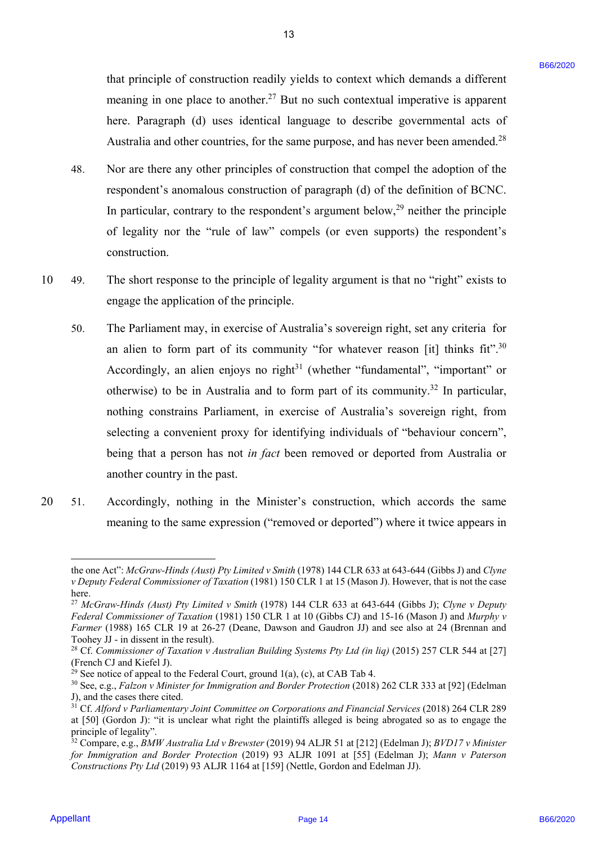that principle of construction readily yields to context which demands a different that principle of construction readily yields to context which demands <sup>a</sup> different meaning in one place to another.<sup>27</sup> But no such contextual imperative is apparent here. Paragraph (d) uses identical language to describe governmental acts of here. Paragraph (d) uses identical language to describe governmental acts ofAustralia and other countries, for the same purpose, and has never been amended.<sup>28</sup>

48. Nor are there any other principles of construction that compel the adoption of the 48. Nor are there any other principles of construction that compel the adoption of the respondent's anomalous construction of paragraph (d) of the definition of BCNC. respondent's anomalous construction of paragraph (d) of the definition of BCNC. In particular, contrary to the respondent's argument below, $29$  neither the principle of legality nor the "rule of law" compels (or even supports) the respondent's of legality nor the "rule of law" compels (or even supports) the respondent's construction. construction.

13 13

- 10 49. The short response to the principle of legality argument is that no "right" exists to 49, The short response to the principle of legality argument is that no "right" exists to engage the application of the principle. engage the application of the principle. 10
- 50. The Parliament may, in exercise of Australia's sovereign right, set any criteria for 50. The Parliament may, in exercise of Australia's sovereign right, set any criteria for an alien to form part of its community "for whatever reason [it] thinks fit".<sup>30</sup> Accordingly, an alien enjoys no right $31$  (whether "fundamental", "important" or otherwise) to be in Australia and to form part of its community.<sup>32</sup> In particular, nothing constrains Parliament, in exercise of Australia's sovereign right, from nothing constrains Parliament, in exercise of Australia's sovereign right, from selecting a convenient proxy for identifying individuals of "behaviour concern", selecting <sup>a</sup> convenient proxy for identifying individuals of "behaviour concern", being that a person has not *in fact* been removed or deported from Australia or being that a person has not in fact been removed or deported from Australia or another country in the past. another country in the past. four permisple of construction readily, yields to course which demants a different measure of exaction 2020 Page 16 and a set and constraint important in supportion. By approximate the state and other through the state of
- 20 51. Accordingly, nothing in the Minister's construction, which accords the same 51. Accordingly, nothing in the Minister's construction, which accords the same meaning to the same expression ("removed or deported") where it twice appears in meaning to the same expression ("removed or deported"') where it twice appears in 20

the one Act": *McGraw-Hinds (Aust) Pty Limited v Smith* (1978) 144 CLR 633 at 643-644 (Gibbs J) and *Clyne*  the one Act": McGraw-Hinds (Aust) Pty Limited v Smith (1978) 144 CLR 633 at 643-644 (Gibbs J) and Clyne *v Deputy Federal Commissioner of Taxation* (1981) 150 CLR 1 at 15 (Mason J). However, that is not the case v Deputy Federal Commissioner of Taxation (1981) 150 CLR 1 at 15 (Mason J). However, that is not the case here. here.

<sup>27</sup> *McGraw-Hinds (Aust) Pty Limited v Smith* (1978) 144 CLR 633 at 643-644 (Gibbs J); *Clyne v Deputy*  <sup>27</sup> McGraw-Hinds (Aust) Pty Limited v Smith (1978) 144 CLR 633 at 643-644 (Gibbs J); Clyne v Deputy*Federal Commissioner of Taxation* (1981) 150 CLR 1 at 10 (Gibbs CJ) and 15-16 (Mason J) and *Murphy v*  Federal Commissioner of Taxation (1981) 150 CLR 1 at 10 (Gibbs CJ) and 15-16 (Mason J) and Murphy vFarmer (1988) 165 CLR 19 at 26-27 (Deane, Dawson and Gaudron JJ) and see also at 24 (Brennan and Toohey JJ - in dissent in the result). Toohey JJ - in dissent in the result).

<sup>&</sup>lt;sup>28</sup> Cf. Commissioner of Taxation v Australian Building Systems Pty Ltd (in liq) (2015) 257 CLR 544 at [27] (French CJ and Kiefel J). (French CJ and Kiefel J).

<sup>&</sup>lt;sup>29</sup> See notice of appeal to the Federal Court, ground 1(a), (c), at CAB Tab 4.

<sup>&</sup>lt;sup>29</sup> See notice of appeal to the Federal Court, ground 1(a), (c), at CAB Tab 4.<br><sup>30</sup> See, e.g., *Falzon v Minister for Immigration and Border Protection* (2018) 262 CLR 333 at [92] (Edelman J), and the cases there cited. J), and the cases there cited.

<sup>&</sup>lt;sup>31</sup> Cf. Alford v Parliamentary Joint Committee on Corporations and Financial Services (2018) 264 CLR 289 at [50] (Gordon J): "it is unclear what right the plaintiffs alleged is being abrogated so as to engage the at [50] (Gordon J): "it is unclear what right the plaintiffs alleged is being abrogated so as to engage the principle of legality". principle of legality".

<sup>&</sup>lt;sup>32</sup> Compare, e.g., *BMW Australia Ltd v Brewster* (2019) 94 ALJR 51 at [212] (Edelman J); *BVD17 v Minister for Immigration and Border Protection* (2019) 93 ALJR 1091 at [55] (Edelman J); *Mann v Paterson*  for Immigration and Border Protection (2019) 93 ALJR 1091 at [55] (Edelman J); Mann v Paterson *Constructions Pty Ltd* (2019) 93 ALJR 1164 at [159] (Nettle, Gordon and Edelman JJ). Constructions Pty Ltd (2019) 93 ALJR 1164 at [159] (Nettle, Gordon and Edelman JJ).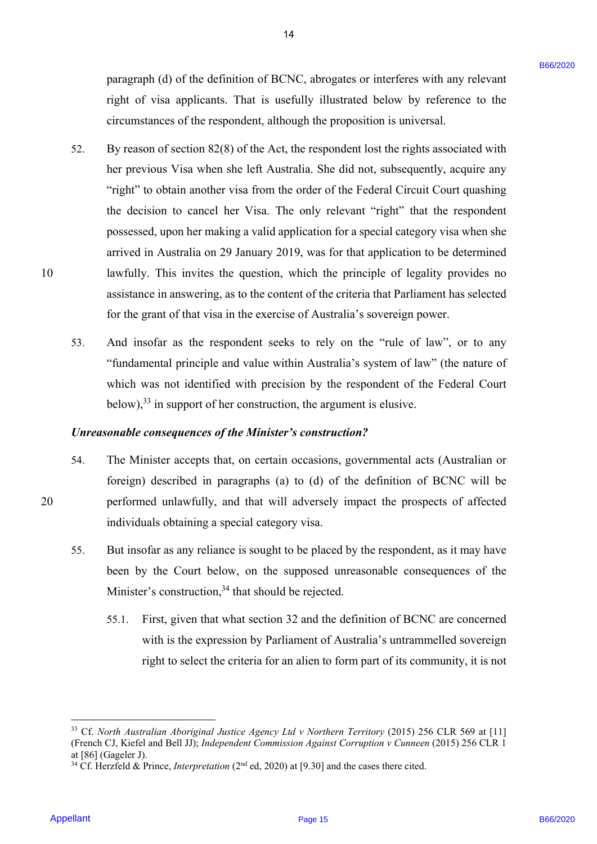paragraph (d) of the definition of BCNC, abrogates or interferes with any relevant paragraph (d) of the definition of BCNC, abrogates or interferes with any relevant right of visa applicants. That is usefully illustrated below by reference to the right of visa applicants. That is usefully illustrated below by reference to the circumstances of the respondent, although the proposition is universal. circumstances of the respondent, although the proposition is universal.

14 14

- 52. By reason of section 82(8) of the Act, the respondent lost the rights associated with By reason of section 82(8) of the Act, the respondent lost the rights associated withher previous Visa when she left Australia. She did not, subsequently, acquire any her previous Visa when she left Australia. She did not, subsequently, acquire any "right" to obtain another visa from the order of the Federal Circuit Court quashing the decision to cancel her Visa. The only relevant "right" that the respondent the decision to cancel her Visa. The only relevant "right" that the respondent possessed, upon her making a valid application for a special category visa when she possessed, upon her making <sup>a</sup> valid application for <sup>a</sup> special category visa when she arrived in Australia on 29 January 2019, was for that application to be determined arrived in Australia on 29 January 2019, was for that application to be determined 10 lawfully. This invites the question, which the principle of legality provides no lawfully. This invites the question, which the principle of legality provides no assistance in answering, as to the content of the criteria that Parliament has selected assistance in answering, as to the content of the criteria that Parliament has selected for the grant of that visa in the exercise of Australia's sovereign power. for the grant of that visa in the exercise of Australia's sovereign power. paragment (d) of the definition of HCNC, abrogates or interferes with any relevant right of visin applicants. That is unchildly illianties blow by reference of the responsion that is explicated blow by reference of the re 52.
	- 53. And insofar as the respondent seeks to rely on the "rule of law", or to any And insofar as the respondent seeks to rely on the "rule of law", or to any "fundamental principle and value within Australia's system of law" (the nature of "fundamental principle and value within Australia's system of law" (the nature of which was not identified with precision by the respondent of the Federal Court which was not identified with precision by the respondent of the Federal Court below), $^{33}$  in support of her construction, the argument is elusive. 53.

# *Unreasonable consequences of the Minister's construction?*  Unreasonable consequences ofthe Minister's construction?

- 54. The Minister accepts that, on certain occasions, governmental acts (Australian or The Minister accepts that, on certain occasions, governmental acts (Australian or foreign) described in paragraphs (a) to (d) of the definition of BCNC will be foreign) described in paragraphs (a) to (d) of the definition of BCNC will be 20 performed unlawfully, and that will adversely impact the prospects of affected performed unlawfully, and that will adversely impact the prospects of affectedindividuals obtaining a special category visa. individuals obtaining <sup>a</sup> special category visa. 54.
	- 55. But insofar as any reliance is sought to be placed by the respondent, as it may have But insofar as any reliance is sought to be placed by the respondent, as it may have been by the Court below, on the supposed unreasonable consequences of the been by the Court below, on the supposed unreasonable consequences of the Minister's construction,  $34$  that should be rejected. 55.
		- 55.1. First, given that what section 32 and the definition of BCNC are concerned 55.1. First, given that what section 32 and the definition of BCNC are concerned with is the expression by Parliament of Australia's untrammelled sovereign with is the expression by Parliament of Australia's untrammelled sovereign right to select the criteria for an alien to form part of its community, it is not right to select the criteria for an alien to form part of its community, it is not

20

10

<u>.</u>

<sup>&</sup>lt;sup>33</sup> Cf. North Australian Aboriginal Justice Agency Ltd v Northern Territory (2015) 256 CLR 569 at [11] (French CJ, Kiefel and Bell JJ); *Independent Commission Against Corruption v Cunneen* (2015) 256 CLR 1 (French CJ, Kiefel and Bell JJ); Independent Commission Against Corruption v Cunneen (2015) 256 CLR 1 at [86] (Gageler J). at [86] (Gageler J).

<sup>34</sup> Cf. Herzfeld & Prince, *Interpretation* (2nd ed, 2020) at [9.30] and the cases there cited. <sup>34</sup> Cf. Herzfeld & Prince, Interpretation (2™ ed, 2020) at [9.30] and the cases there cited.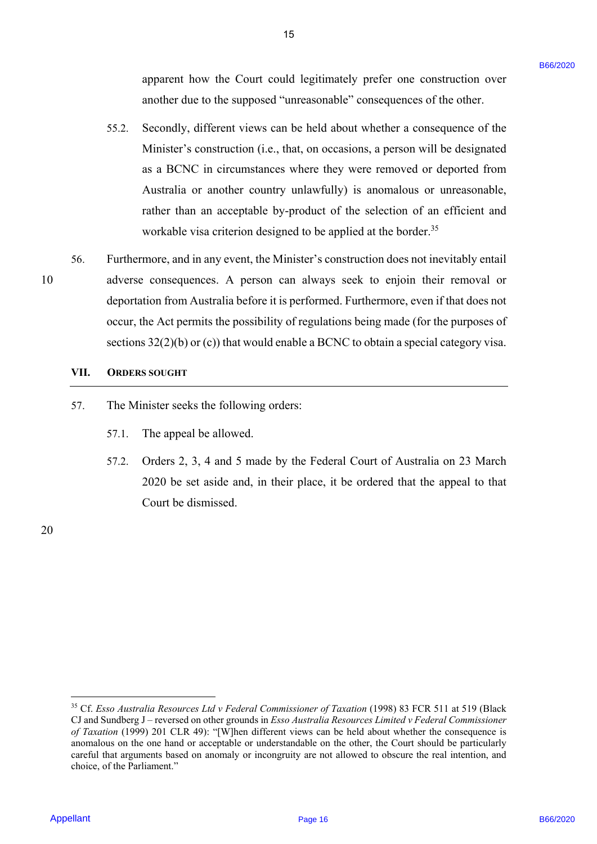apparent how the Court could legitimately prefer one construction over apparent how the Court could legitimately prefer one construction over another due to the supposed "unreasonable" consequences of the other.

15 15

- 55.2. Secondly, different views can be held about whether a consequence of the Minister's construction (i.e., that, on occasions, a person will be designated Minister's construction (i.e., that, on occasions, a person will be designated as a BCNC in circumstances where they were removed or deported from as a BCNC in circumstances where they were removed or deported from Australia or another country unlawfully) is anomalous or unreasonable, Australia or another country unlawfully) is anomalous or unreasonable, rather than an acceptable by-product of the selection of an efficient and workable visa criterion designed to be applied at the border.<sup>35</sup> appearent hose the Court could legitimately presier one construction over<br>
2. Secondly, diffused with considerate and the distant state and the office of the office<br>
2. Secondly, diffused with a local based with the secon
- 56. Furthermore, and in any event, the Minister's construction does not inevitably entail 56. Furthermore, and in any event, the Minister's construction does not inevitably entail 10 adverse consequences. A person can always seek to enjoin their removal or <sup>10</sup> adverse consequences. A person can always seek to enjoin their removal or deportation from Australia before it is performed. Furthermore, even if that does not deportation from Australia before it is performed. Furthermore, even ifthat does not occur, the Act permits the possibility of regulations being made (for the purposes of occur, the Act permits the possibility of regulations being made (for the purposes of sections 32(2)(b) or (c)) that would enable a BCNC to obtain a special category visa.

### **VII. ORDERS SOUGHT** VII. ORDERS SOUGHT

- 57. The Minister seeks the following orders: 57. The Minister seeks the following orders:
	- 57.1. The appeal be allowed.
	- 57.2. Orders 2, 3, 4 and 5 made by the Federal Court of Australia on 23 March 57.2. Orders 2, 3, 4 and 5 made by the Federal Court of Australia on 23 March 2020 be set aside and, in their place, it be ordered that the appeal to that 2020 be set aside and, in their place, it be ordered that the appeal to that Court be dismissed. Court be dismissed.

20 20

<sup>&</sup>lt;sup>35</sup> Cf. Esso Australia Resources Ltd v Federal Commissioner of Taxation (1998) 83 FCR 511 at 519 (Black CJ and Sundberg J – reversed on other grounds in *Esso Australia Resources Limited v Federal Commissioner* of Taxation (1999) 201 CLR 49): "[W]hen different views can be held about whether the consequence is anomalous on the one hand or acceptable or understandable on the other, the Court should be particularly anomalous on the one hand or acceptable or understandable on the other, the Court should be particularly careful that arguments based on anomaly or incongruity are not allowed to obscure the real intention, and careful that arguments based on anomaly or incongruity are not allowed to obscure the real intention, and choice, of the Parliament." choice, of the Parliament."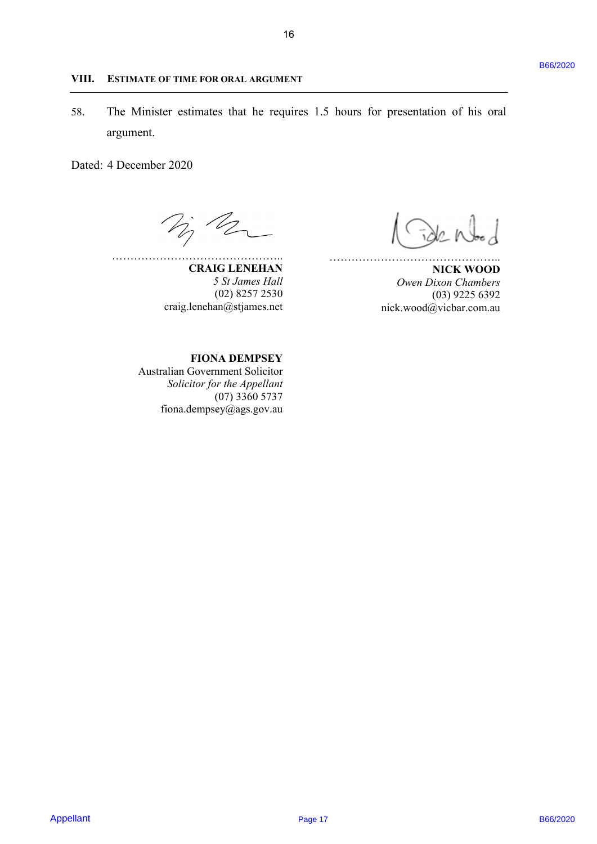### **VIII. ESTIMATE OF TIME FOR ORAL ARGUMENT** VIII. ESTIMATE OF TIME FOR ORAL ARGUMENT

58. The Minister estimates that he requires 1.5 hours for presentation of his oral 58. The Minister estimates that he requires 1.5 hours for presentation of his oral argument. argument. Appellant B66/2020 B66/2020 Page 17

Dated: 4 December 2020 Dated: 4 December 2020

……………………………………….. **CRAIG LENEHAN**  CRAIG LENEHAN 000 ee NIcK wooD

*5 St James Hall*  (02) 8257 2530 craig.lenehan@stjames.net

 $\mathcal{S} \rightarrow \mathcal{S}$ 

**NICK WOOD**  *Owen Dixon Chambers*  <sup>5</sup> St James Hall Owen Dixon Chambers (03) 9225 6392 (02) 8257 2530 (03) 9225 6392 nick.wood@vicbar.com.au craig.lenehan@stjames.net nick.wood@vicbar.com.au

………………………………………..

**FIONA DEMPSEY**  FIONA DEMPSEY

Australian Government Solicitor Australian Government Solicitor Solicitor for the Appellant (07) 3360 5737 (07) 3360 5737 fiona.dempsey@ags.gov.au fiona.dempsey@ags.gov.au